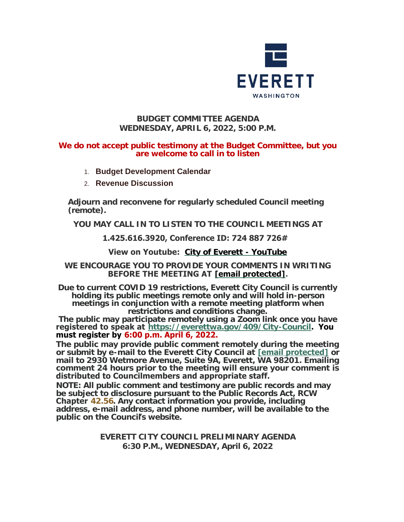

## **BUDGET COMMITTEE AGENDA WEDNESDAY, APRIL 6, 2022, 5:00 P.M.**

### **We do not accept public testimony at the Budget Committee, but you are welcome to call in to listen**

- 1. **Budget Development Calendar**
- 2. **Revenue Discussion**

**Adjourn and reconvene for regularly scheduled Council meeting (remote).**

**YOU MAY CALL IN TO LISTEN TO THE COUNCIL MEETINGS AT**

# **1.425.616.3920, Conference ID: 724 887 726#**

# **View on Youtube: [City of Everett - YouTube](https://www.youtube.com/c/EverettCity)**

## **WE ENCOURAGE YOU TO PROVIDE YOUR COMMENTS IN WRITING BEFORE THE MEETING AT [\[email protected\]](https://www.everettwa.gov/cdn-cgi/l/email-protection#4a09051f040903060a0f1c0f180f1e1e1d0b640d051c).**

**Due to current COVID 19 restrictions, Everett City Council is currently holding its public meetings remote only and will hold in-person meetings in conjunction with a remote meeting platform when restrictions and conditions change.**

**The public may participate remotely using a Zoom link once you have registered to speak at <https://everettwa.gov/409/City-Council>. You must register by 6:00 p.m. April 6, 2022.** 

**The public may provide public comment remotely during the meeting or submit by e-mail to the Everett City Council at [\[email protected\]](https://www.everettwa.gov/cdn-cgi/l/email-protection) or mail to 2930 Wetmore Avenue, Suite 9A, Everett, WA 98201. Emailing comment 24 hours prior to the meeting will ensure your comment is distributed to Councilmembers and appropriate staff.** 

*NOTE: All public comment and testimony are public records and may be subject to disclosure pursuant to the Public Records Act, RCW*  **Chapter** *[42.56](https://apps.leg.wa.gov/rcw/default.aspx?cite=42.56). Any contact information you provide, including address, e-mail address, and phone number, will be available to the public on the Council***'***s website.*

> **EVERETT CITY COUNCIL PRELIMINARY AGENDA 6:30 P.M., WEDNESDAY, April 6, 2022**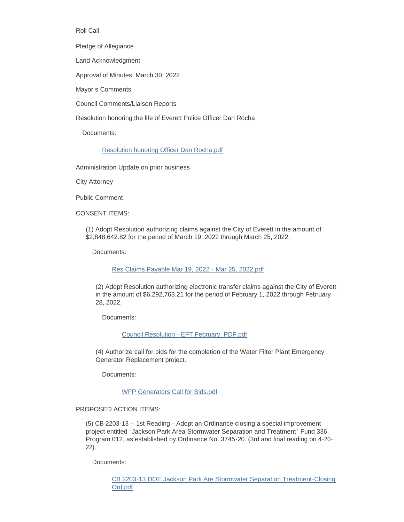#### Roll Call

Pledge of Allegiance

Land Acknowledgment

Approval of Minutes: March 30, 2022

Mayor's Comments

Council Comments/Liaison Reports

Resolution honoring the life of Everett Police Officer Dan Rocha

Documents:

#### [Resolution honoring Officer Dan Rocha.pdf](https://www.everettwa.gov/AgendaCenter/ViewFile/Item/13565?fileID=80773)

Administration Update on prior business

City Attorney

Public Comment

CONSENT ITEMS:

(1) Adopt Resolution authorizing claims against the City of Everett in the amount of \$2,848,642.82 for the period of March 19, 2022 through March 25, 2022.

Documents:

[Res Claims Payable Mar 19, 2022 - Mar 25, 2022.pdf](https://www.everettwa.gov/AgendaCenter/ViewFile/Item/13566?fileID=80759)

(2) Adopt Resolution authorizing electronic transfer claims against the City of Everett in the amount of \$6,292,763.21 for the period of February 1, 2022 through February 28, 2022.

Documents:

[Council Resolution - EFT February\\_PDF.pdf](https://www.everettwa.gov/AgendaCenter/ViewFile/Item/13567?fileID=80760)

(4) Authorize call for bids for the completion of the Water Filter Plant Emergency Generator Replacement project.

Documents:

[WFP Generators Call for Bids.pdf](https://www.everettwa.gov/AgendaCenter/ViewFile/Item/13569?fileID=80762)

#### PROPOSED ACTION ITEMS:

(5) CB 2203-13 – 1st Reading - Adopt an Ordinance closing a special improvement project entitled "Jackson Park Area Stormwater Separation and Treatment" Fund 336, Program 012, as established by Ordinance No. 3745-20. (3rd and final reading on 4-20- 22).

Documents:

[CB 2203-13 DOE Jackson Park Are Stormwater Separation Treatment-Closing](https://www.everettwa.gov/AgendaCenter/ViewFile/Item/13570?fileID=80763)  Ord.pdf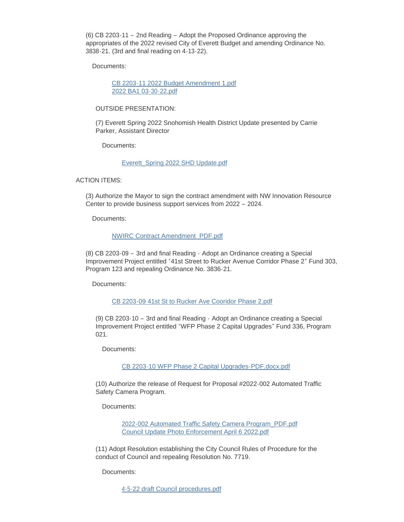(6) CB 2203-11 – 2nd Reading – Adopt the Proposed Ordinance approving the appropriates of the 2022 revised City of Everett Budget and amending Ordinance No. 3838-21. (3rd and final reading on 4-13-22).

Documents:

[CB 2203-11 2022 Budget Amendment 1.pdf](https://www.everettwa.gov/AgendaCenter/ViewFile/Item/13571?fileID=80764) [2022 BA1 03-30-22.pdf](https://www.everettwa.gov/AgendaCenter/ViewFile/Item/13571?fileID=80765)

#### OUTSIDE PRESENTATION:

(7) Everett Spring 2022 Snohomish Health District Update presented by Carrie Parker, Assistant Director

Documents:

#### [Everett\\_Spring 2022 SHD Update.pdf](https://www.everettwa.gov/AgendaCenter/ViewFile/Item/13572?fileID=80766)

ACTION ITEMS:

(3) Authorize the Mayor to sign the contract amendment with NW Innovation Resource Center to provide business support services from 2022 – 2024.

Documents:

#### [NWIRC Contract Amendment\\_PDF.pdf](https://www.everettwa.gov/AgendaCenter/ViewFile/Item/13568?fileID=80761)

(8) CB 2203-09 – 3rd and final Reading - Adopt an Ordinance creating a Special Improvement Project entitled "41st Street to Rucker Avenue Corridor Phase 2" Fund 303, Program 123 and repealing Ordinance No. 3836-21.

Documents:

#### [CB 2203-09 41st St to Rucker Ave Cooridor Phase 2.pdf](https://www.everettwa.gov/AgendaCenter/ViewFile/Item/13573?fileID=80767)

(9) CB 2203-10 – 3rd and final Reading - Adopt an Ordinance creating a Special Improvement Project entitled "WFP Phase 2 Capital Upgrades" Fund 336, Program 021.

Documents:

[CB 2203-10 WFP Phase 2 Capital Upgrades-PDF.docx.pdf](https://www.everettwa.gov/AgendaCenter/ViewFile/Item/13574?fileID=80768)

(10) Authorize the release of Request for Proposal #2022-002 Automated Traffic Safety Camera Program.

Documents:

[2022-002 Automated Traffic Safety Camera Program\\_PDF.pdf](https://www.everettwa.gov/AgendaCenter/ViewFile/Item/13575?fileID=80769) [Council Update Photo Enforcement April 6 2022.pdf](https://www.everettwa.gov/AgendaCenter/ViewFile/Item/13575?fileID=80774)

(11) Adopt Resolution establishing the City Council Rules of Procedure for the conduct of Council and repealing Resolution No. 7719.

Documents:

[4-5-22 draft Council procedures.pdf](https://www.everettwa.gov/AgendaCenter/ViewFile/Item/13576?fileID=80772)